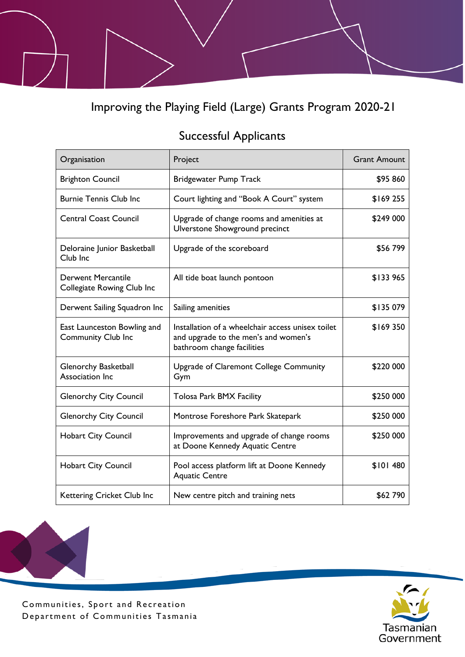Improving the Playing Field (Large) Grants Program 2020-21

## Successful Applicants

| Organisation                                             | Project                                                                                                                 | <b>Grant Amount</b> |
|----------------------------------------------------------|-------------------------------------------------------------------------------------------------------------------------|---------------------|
| <b>Brighton Council</b>                                  | <b>Bridgewater Pump Track</b>                                                                                           | \$95 860            |
| <b>Burnie Tennis Club Inc</b>                            | Court lighting and "Book A Court" system                                                                                | \$169 255           |
| <b>Central Coast Council</b>                             | Upgrade of change rooms and amenities at<br>Ulverstone Showground precinct                                              | \$249 000           |
| Deloraine Junior Basketball<br>Club Inc                  | Upgrade of the scoreboard                                                                                               | \$56799             |
| <b>Derwent Mercantile</b><br>Collegiate Rowing Club Inc  | All tide boat launch pontoon                                                                                            | \$133 965           |
| Derwent Sailing Squadron Inc                             | Sailing amenities                                                                                                       | \$135 079           |
| East Launceston Bowling and<br><b>Community Club Inc</b> | Installation of a wheelchair access unisex toilet<br>and upgrade to the men's and women's<br>bathroom change facilities | \$169350            |
| <b>Glenorchy Basketball</b><br>Association Inc           | Upgrade of Claremont College Community<br>Gym                                                                           | \$220 000           |
| <b>Glenorchy City Council</b>                            | <b>Tolosa Park BMX Facility</b>                                                                                         | \$250 000           |
| <b>Glenorchy City Council</b>                            | Montrose Foreshore Park Skatepark                                                                                       | \$250 000           |
| <b>Hobart City Council</b>                               | Improvements and upgrade of change rooms<br>at Doone Kennedy Aquatic Centre                                             | \$250 000           |
| <b>Hobart City Council</b>                               | Pool access platform lift at Doone Kennedy<br><b>Aquatic Centre</b>                                                     | \$101480            |
| Kettering Cricket Club Inc                               | New centre pitch and training nets                                                                                      | \$62 790            |



Communities, Sport and Recreation Department of Communities Tasmania